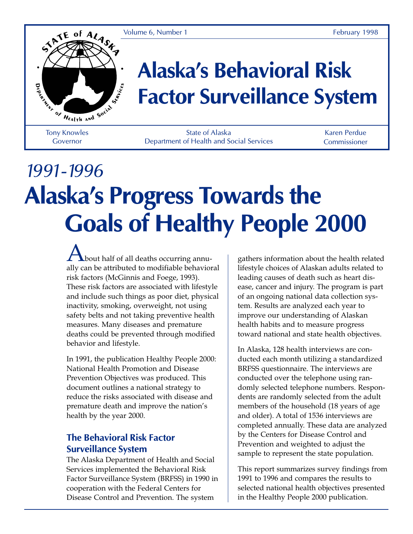Volume 6, Number 1 February 1998



# **Alaska's Behavioral Risk Factor Surveillance System**

Tony Knowles Governor

State of Alaska Department of Health and Social Services

Karen Perdue Commissioner

# *1991-1996* **Alaska's Progress Towards the Goals of Healthy People 2000**

 $\bigwedge$  bout half of all deaths occurring annually can be attributed to modifiable behavioral risk factors (McGinnis and Foege, 1993). These risk factors are associated with lifestyle and include such things as poor diet, physical inactivity, smoking, overweight, not using safety belts and not taking preventive health measures. Many diseases and premature deaths could be prevented through modified behavior and lifestyle.

In 1991, the publication Healthy People 2000: National Health Promotion and Disease Prevention Objectives was produced. This document outlines a national strategy to reduce the risks associated with disease and premature death and improve the nation's health by the year 2000.

#### **The Behavioral Risk Factor Surveillance System**

The Alaska Department of Health and Social Services implemented the Behavioral Risk Factor Surveillance System (BRFSS) in 1990 in cooperation with the Federal Centers for Disease Control and Prevention. The system

gathers information about the health related lifestyle choices of Alaskan adults related to leading causes of death such as heart disease, cancer and injury. The program is part of an ongoing national data collection system. Results are analyzed each year to improve our understanding of Alaskan health habits and to measure progress toward national and state health objectives.

In Alaska, 128 health interviews are conducted each month utilizing a standardized BRFSS questionnaire. The interviews are conducted over the telephone using randomly selected telephone numbers. Respondents are randomly selected from the adult members of the household (18 years of age and older). A total of 1536 interviews are completed annually. These data are analyzed by the Centers for Disease Control and Prevention and weighted to adjust the sample to represent the state population.

This report summarizes survey findings from 1991 to 1996 and compares the results to selected national health objectives presented in the Healthy People 2000 publication.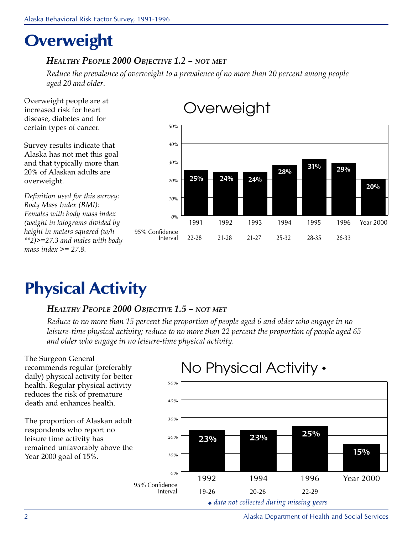# **Overweight**

#### HEALTHY PEOPLE 2000 OBJECTIVE 1.2 – NOT MET

Reduce the prevalence of overweight to a prevalence of no more than 20 percent among people aged 20 and older.

Overweight people are at increased risk for heart disease, diabetes and for certain types of cancer.

Survey results indicate that Alaska has not met this goal and that typically more than 20% of Alaskan adults are overweight.

Definition used for this survey: Body Mass Index (BMI): Females with body mass index (weight in kilograms divided by height in meters squared (w/h \*\*2)>=27.3 and males with body mass index  $\geq$  = 27.8.

#### *0% 10% 20% 30% 40% 50%* 1991 1992 1993 1994 1995 1996 Year 2000 22-28 21-28 21-27 25-32 28-35 26-33 95% Confidence Interval **25% 24% 24% 28% 31% 29% 20%**

## **Overweight**

# **Physical Activity**

#### HEALTHY PEOPLE 2000 OBJECTIVE 1.5 - NOT MET

Reduce to no more than 15 percent the proportion of people aged 6 and older who engage in no leisure-time physical activity; reduce to no more than 22 percent the proportion of people aged 65 and older who engage in no leisure-time physical activity.

The Surgeon General recommends regular (preferably daily) physical activity for better health. Regular physical activity reduces the risk of premature death and enhances health. The proportion of Alaskan adult respondents who report no leisure time activity has remained unfavorably above the Year 2000 goal of 15%. *0% 10% 20% 30% 40% 50%* 1992 1994 1996 Year 2000 No Physical Activity ◆ **23% 23% 25% 15%** 19-26 20-26 22-29 95% Confidence Interval

#### ◆ data not collected during missing years

2 Alaska Department of Health and Social Services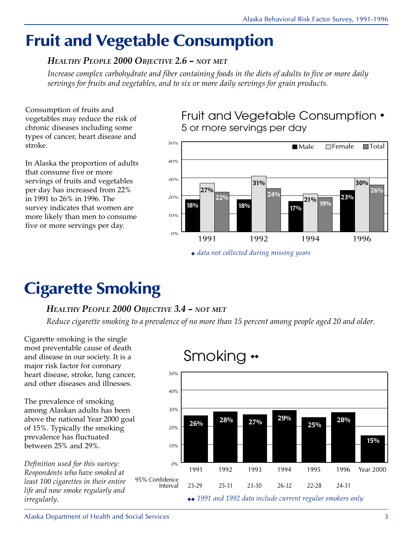# **Fruit and Vegetable Consumption**

#### HEALTHY PEOPLE 2000 OBJECTIVE 2.6 - NOT MET

Increase complex carbohydrate and fiber containing foods in the diets of adults to five or more daily servings for fruits and vegetables, and to six or more daily servings for grain products.

Consumption of fruits and vegetables may reduce the risk of chronic diseases including some types of cancer, heart disease and stroke.

In Alaska the proportion of adults that consume five or more servings of fruits and vegetables per day has increased from 22% in 1991 to 26% in 1996. The survey indicates that women are more likely than men to consume five or more servings per day.

Fruit and Vegetable Consumption ◆ 5 or more servings per day



# **Cigarette Smoking**

#### HEALTHY PEOPLE 2000 OBJECTIVE 3.4 - NOT MET

Reduce cigarette smoking to a prevalence of no more than 15 percent among people aged 20 and older.

Cigarette smoking is the single most preventable cause of death and disease in our society. It is a major risk factor for coronary heart disease, stroke, lung cancer, and other diseases and illnesses.

The prevalence of smoking among Alaskan adults has been above the national Year 2000 goal of 15%. Typically the smoking prevalence has fluctuated between 25% and 29%.

Definition used for this survey: Respondents who have smoked at least 100 cigarettes in their entire life and now smoke regularly and irregularly.

### Smoking ◆◆

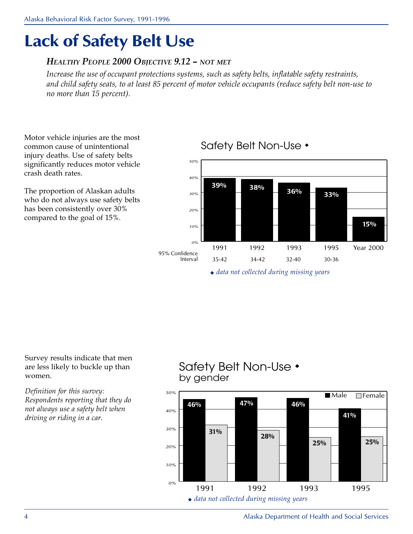# **Lack of Safety Belt Use**

#### HEALTHY PEOPLE 2000 OBJECTIVE 9.12 - NOT MET

Increase the use of occupant protections systems, such as safety belts, inflatable safety restraints, and child safety seats, to at least 85 percent of motor vehicle occupants (reduce safety belt non-use to no more than 15 percent).

Motor vehicle injuries are the most common cause of unintentional injury deaths. Use of safety belts significantly reduces motor vehicle crash death rates.

The proportion of Alaskan adults who do not always use safety belts has been consistently over 30% compared to the goal of 15%.

#### *0% 10% 20% 30% 40% 50%* 1991 1992 1993 1995 Year 2000 35-42 34-42 32-40 30-36 95% Confidence Interval **38% 36% 33% 39% 15%**

### Safety Belt Non-Use ◆

◆ data not collected during missing years

Survey results indicate that men are less likely to buckle up than women.

Definition for this survey: Respondents reporting that they do not always use a safety belt when driving or riding in a car.

### Safety Belt Non-Use ◆ by gender

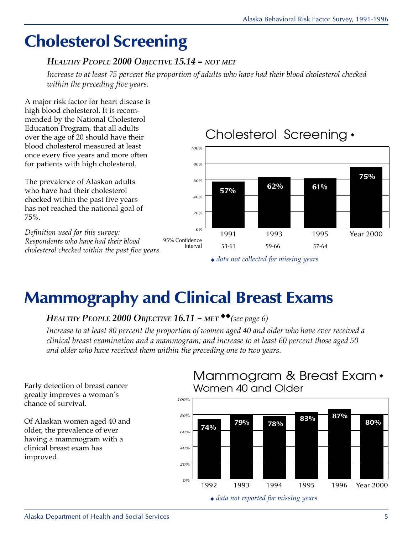# **Cholesterol Screening**

#### HEALTHY PEOPLE 2000 OBJECTIVE 15.14 - NOT MET

Increase to at least 75 percent the proportion of adults who have had their blood cholesterol checked within the preceding five years.

A major risk factor for heart disease is high blood cholesterol. It is recommended by the National Cholesterol Education Program, that all adults over the age of 20 should have their blood cholesterol measured at least once every five years and more often for patients with high cholesterol.

The prevalence of Alaskan adults who have had their cholesterol checked within the past five years has not reached the national goal of 75%.

Definition used for this survey: Respondents who have had their blood cholesterol checked within the past five years.



◆ data not collected for missing years

# **Mammography and Clinical Breast Exams**

### HEALTHY PEOPLE 2000 OBJECTIVE 16.11 – MET<sup> $\bullet$ </sup> (see page 6)

Increase to at least 80 percent the proportion of women aged 40 and older who have ever received a clinical breast examination and a mammogram; and increase to at least 60 percent those aged 50 and older who have received them within the preceding one to two years.

Early detection of breast cancer greatly improves a woman's chance of survival.

Of Alaskan women aged 40 and older, the prevalence of ever having a mammogram with a clinical breast exam has improved.

### Mammogram & Breast Exam ◆ Women 40 and Older



◆ data not reported for missing years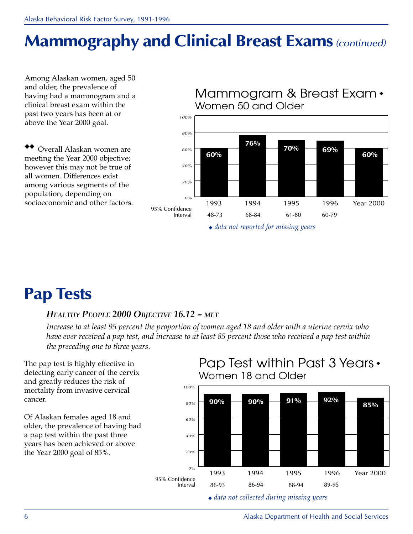# **Mammography and Clinical Breast Exams***(continued)*

Among Alaskan women, aged 50 and older, the prevalence of having had a mammogram and a clinical breast exam within the past two years has been at or above the Year 2000 goal.

◆◆ Overall Alaskan women are meeting the Year 2000 objective; however this may not be true of all women. Differences exist among various segments of the population, depending on socioeconomic and other factors.

*0% 20% 40% 60% 80% 100%* 1993 1994 1995 1996 Year 2000 Mammogram & Breast Exam ◆ Women 50 and Older **60% 76% 70% 60%** 48-73 68-84 61-80 60-79 95% Confidence Interval **69%**

◆ data not reported for missing years

# **Pap Tests**

#### HEALTHY PEOPLE 2000 OBJECTIVE 16.12 – MET

Increase to at least 95 percent the proportion of women aged 18 and older with a uterine cervix who have ever received a pap test, and increase to at least 85 percent those who received a pap test within the preceding one to three years.

The pap test is highly effective in detecting early cancer of the cervix and greatly reduces the risk of mortality from invasive cervical cancer.

Of Alaskan females aged 18 and older, the prevalence of having had a pap test within the past three years has been achieved or above the Year 2000 goal of 85%.

### Pap Test within Past 3 Years ◆ Women 18 and Older



◆ data not collected during missing years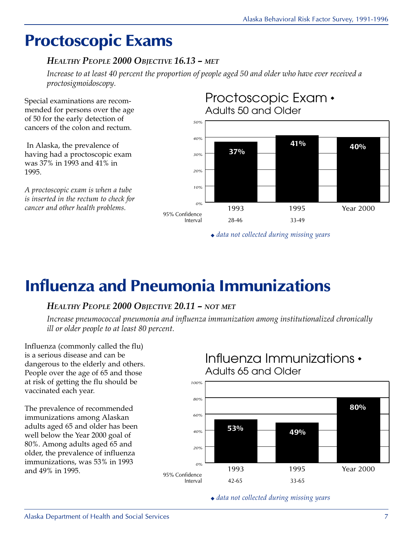## **Proctoscopic Exams**

#### HEALTHY PEOPLE 2000 OBJECTIVE 16.13 – MET

Increase to at least 40 percent the proportion of people aged 50 and older who have ever received a proctosigmoidoscopy.

Special examinations are recommended for persons over the age of 50 for the early detection of cancers of the colon and rectum.

 In Alaska, the prevalence of having had a proctoscopic exam was 37% in 1993 and 41% in 1995.

A proctoscopic exam is when a tube is inserted in the rectum to check for cancer and other health problems.



◆ data not collected during missing years

# **Influenza and Pneumonia Immunizations**

95% Confidence Interval

#### HEALTHY PEOPLE 2000 OBJECTIVE 20.11 - NOT MET

Increase pneumococcal pneumonia and influenza immunization among institutionalized chronically ill or older people to at least 80 percent.

Influenza (commonly called the flu) is a serious disease and can be dangerous to the elderly and others. People over the age of 65 and those at risk of getting the flu should be vaccinated each year.

The prevalence of recommended immunizations among Alaskan adults aged 65 and older has been well below the Year 2000 goal of 80%. Among adults aged 65 and older, the prevalence of influenza immunizations, was 53% in 1993 and 49% in 1995.

#### *0% 20% 40% 60% 80% 100%* 1993 1995 Year 2000 Influenza Immunizations ◆ Adults 65 and Older **53% 49% 80%**

◆ data not collected during missing years

42-65 33-65